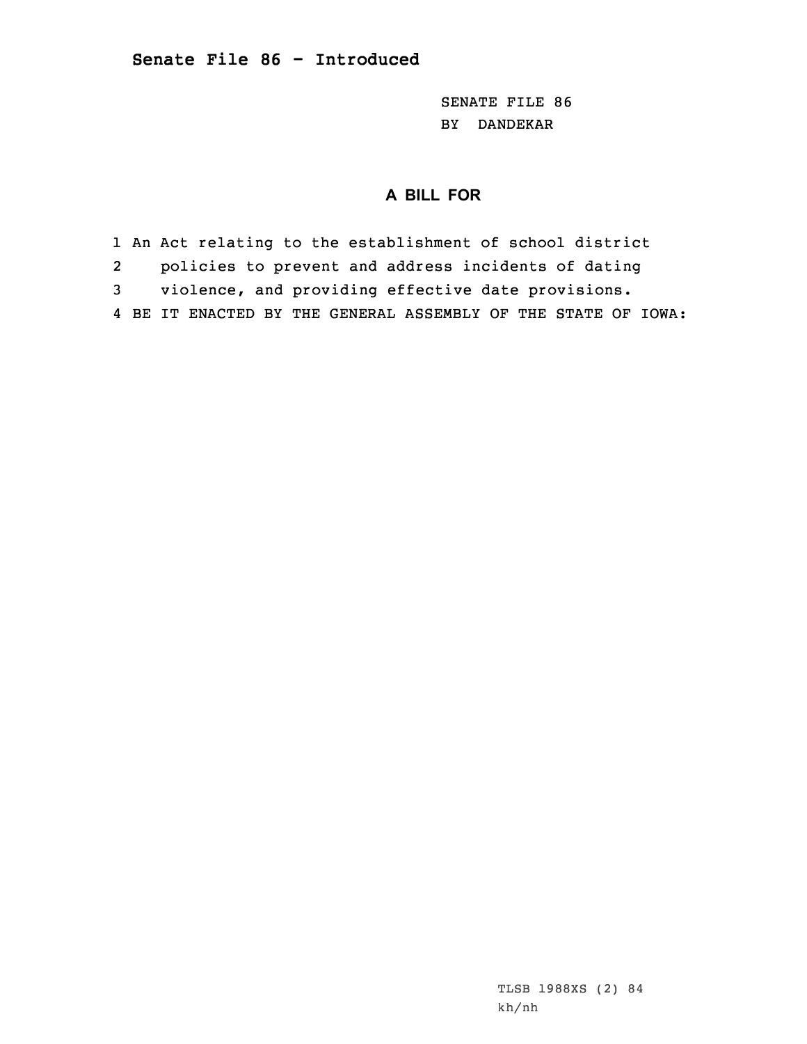SENATE FILE 86 BY DANDEKAR

## **A BILL FOR**

1 An Act relating to the establishment of school district

2policies to prevent and address incidents of dating

3 violence, and providing effective date provisions.

4 BE IT ENACTED BY THE GENERAL ASSEMBLY OF THE STATE OF IOWA: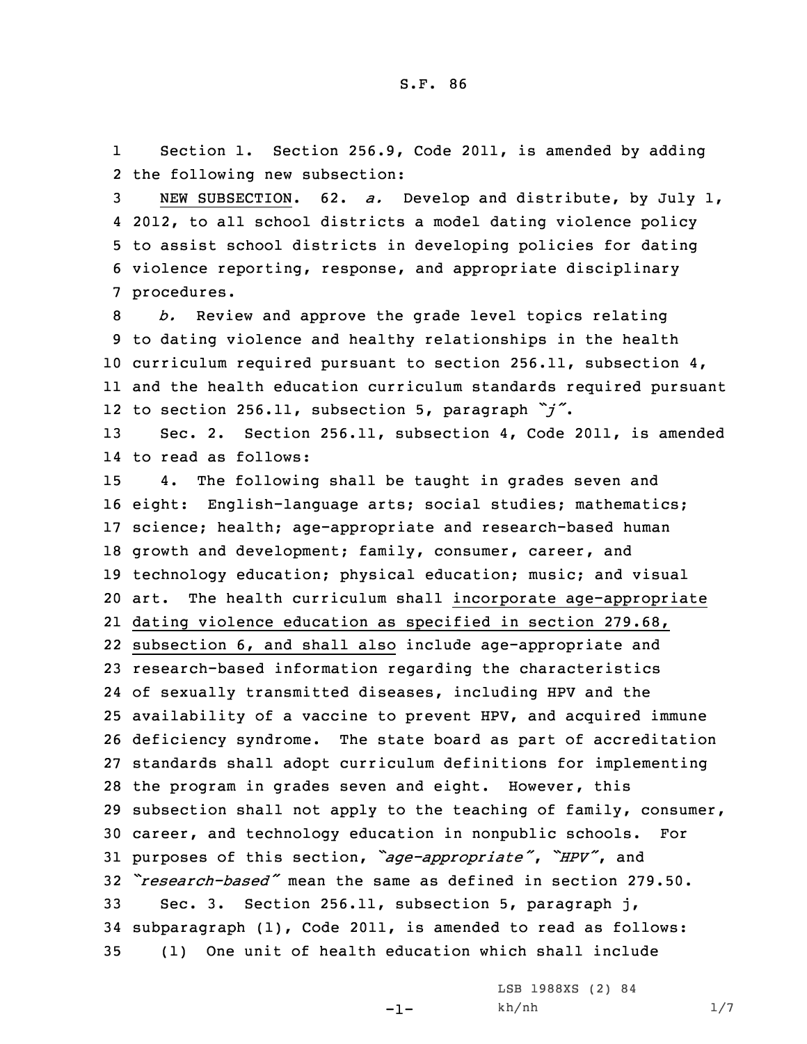1 Section 1. Section 256.9, Code 2011, is amended by adding 2 the following new subsection:

 NEW SUBSECTION. 62. *a.* Develop and distribute, by July 1, 2012, to all school districts <sup>a</sup> model dating violence policy to assist school districts in developing policies for dating violence reporting, response, and appropriate disciplinary procedures.

 *b.* Review and approve the grade level topics relating to dating violence and healthy relationships in the health curriculum required pursuant to section 256.11, subsection 4, and the health education curriculum standards required pursuant to section 256.11, subsection 5, paragraph *"j"*.

13 Sec. 2. Section 256.11, subsection 4, Code 2011, is amended 14 to read as follows:

 4. The following shall be taught in grades seven and eight: English-language arts; social studies; mathematics; science; health; age-appropriate and research-based human 18 growth and development; family, consumer, career, and technology education; physical education; music; and visual art. The health curriculum shall incorporate age-appropriate dating violence education as specified in section 279.68, subsection 6, and shall also include age-appropriate and research-based information regarding the characteristics of sexually transmitted diseases, including HPV and the availability of <sup>a</sup> vaccine to prevent HPV, and acquired immune deficiency syndrome. The state board as part of accreditation standards shall adopt curriculum definitions for implementing the program in grades seven and eight. However, this subsection shall not apply to the teaching of family, consumer, career, and technology education in nonpublic schools. For purposes of this section, *"age-appropriate"*, *"HPV"*, and *"research-based"* mean the same as defined in section 279.50. Sec. 3. Section 256.11, subsection 5, paragraph j, subparagraph (1), Code 2011, is amended to read as follows: (1) One unit of health education which shall include

-1-

LSB 1988XS (2) 84 kh/nh 1/7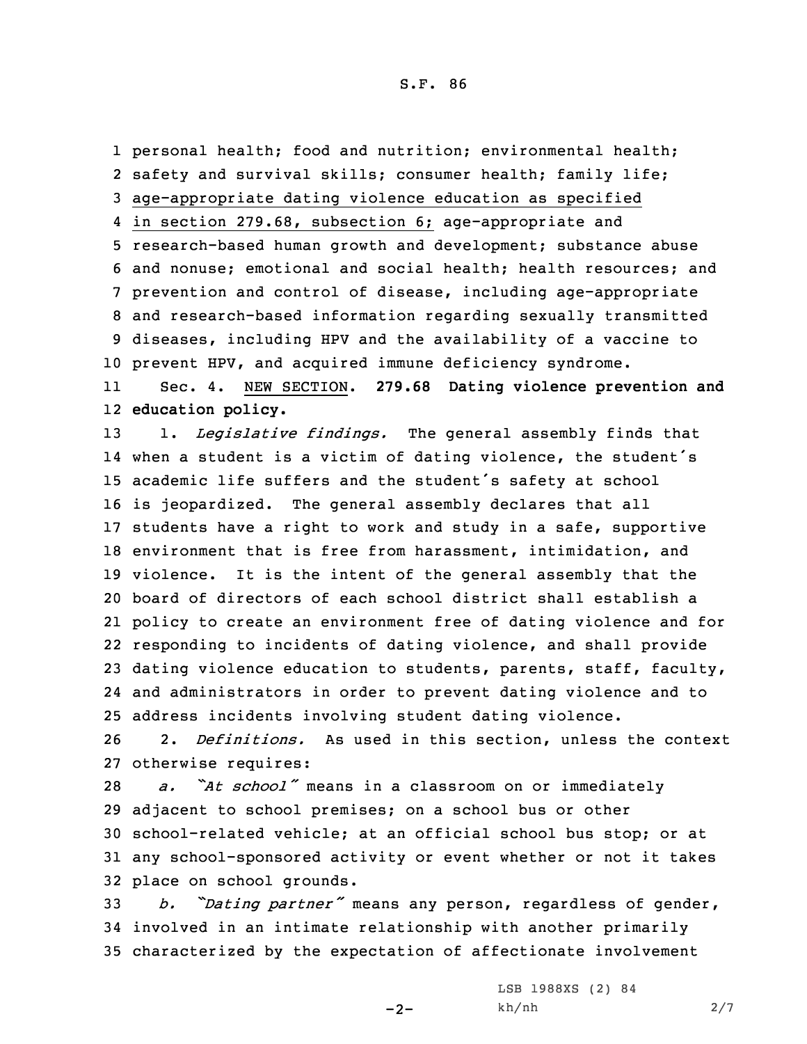S.F. 86

 personal health; food and nutrition; environmental health; safety and survival skills; consumer health; family life; age-appropriate dating violence education as specified in section 279.68, subsection 6; age-appropriate and research-based human growth and development; substance abuse and nonuse; emotional and social health; health resources; and prevention and control of disease, including age-appropriate and research-based information regarding sexually transmitted diseases, including HPV and the availability of <sup>a</sup> vaccine to prevent HPV, and acquired immune deficiency syndrome. 11 Sec. 4. NEW SECTION. **279.68 Dating violence prevention and education policy.** 1. *Legislative findings.* The general assembly finds that when <sup>a</sup> student is <sup>a</sup> victim of dating violence, the student's academic life suffers and the student's safety at school is jeopardized. The general assembly declares that all students have <sup>a</sup> right to work and study in <sup>a</sup> safe, supportive environment that is free from harassment, intimidation, and violence. It is the intent of the general assembly that the board of directors of each school district shall establish <sup>a</sup> policy to create an environment free of dating violence and for responding to incidents of dating violence, and shall provide dating violence education to students, parents, staff, faculty, and administrators in order to prevent dating violence and to address incidents involving student dating violence. 2. *Definitions.* As used in this section, unless the context otherwise requires: *a. "At school"* means in <sup>a</sup> classroom on or immediately adjacent to school premises; on <sup>a</sup> school bus or other school-related vehicle; at an official school bus stop; or at any school-sponsored activity or event whether or not it takes

32 place on school grounds.

<sup>33</sup> *b. "Dating partner"* means any person, regardless of gender, 34 involved in an intimate relationship with another primarily 35 characterized by the expectation of affectionate involvement

 $-2-$ 

LSB 1988XS (2) 84 kh/nh 2/7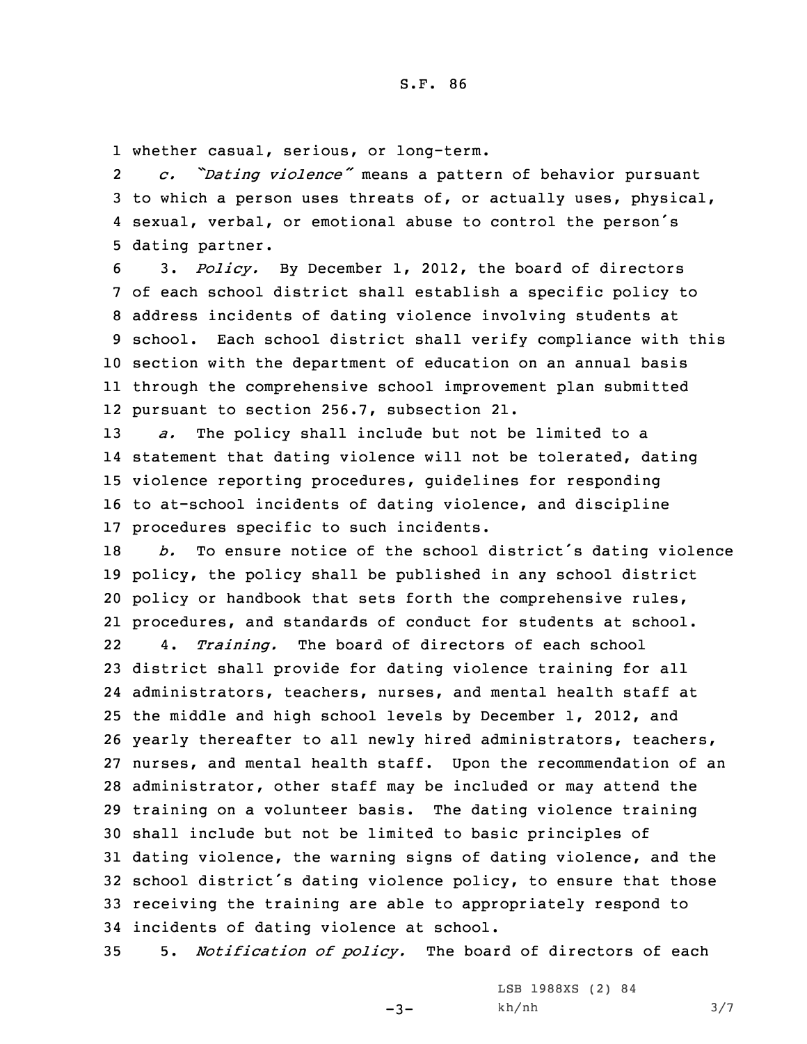1 whether casual, serious, or long-term.

2 *c. "Dating violence"* means <sup>a</sup> pattern of behavior pursuant 3 to which <sup>a</sup> person uses threats of, or actually uses, physical, 4 sexual, verbal, or emotional abuse to control the person's 5 dating partner.

 3. *Policy.* By December 1, 2012, the board of directors of each school district shall establish <sup>a</sup> specific policy to address incidents of dating violence involving students at school. Each school district shall verify compliance with this section with the department of education on an annual basis through the comprehensive school improvement plan submitted pursuant to section 256.7, subsection 21.

 *a.* The policy shall include but not be limited to <sup>a</sup> statement that dating violence will not be tolerated, dating violence reporting procedures, guidelines for responding to at-school incidents of dating violence, and discipline procedures specific to such incidents.

 *b.* To ensure notice of the school district's dating violence policy, the policy shall be published in any school district policy or handbook that sets forth the comprehensive rules, procedures, and standards of conduct for students at school. 22 4. *Training.* The board of directors of each school district shall provide for dating violence training for all administrators, teachers, nurses, and mental health staff at the middle and high school levels by December 1, 2012, and yearly thereafter to all newly hired administrators, teachers, nurses, and mental health staff. Upon the recommendation of an administrator, other staff may be included or may attend the training on <sup>a</sup> volunteer basis. The dating violence training shall include but not be limited to basic principles of dating violence, the warning signs of dating violence, and the school district's dating violence policy, to ensure that those receiving the training are able to appropriately respond to incidents of dating violence at school.

35 5. *Notification of policy.* The board of directors of each

 $-3-$ 

LSB 1988XS (2) 84 kh/nh 3/7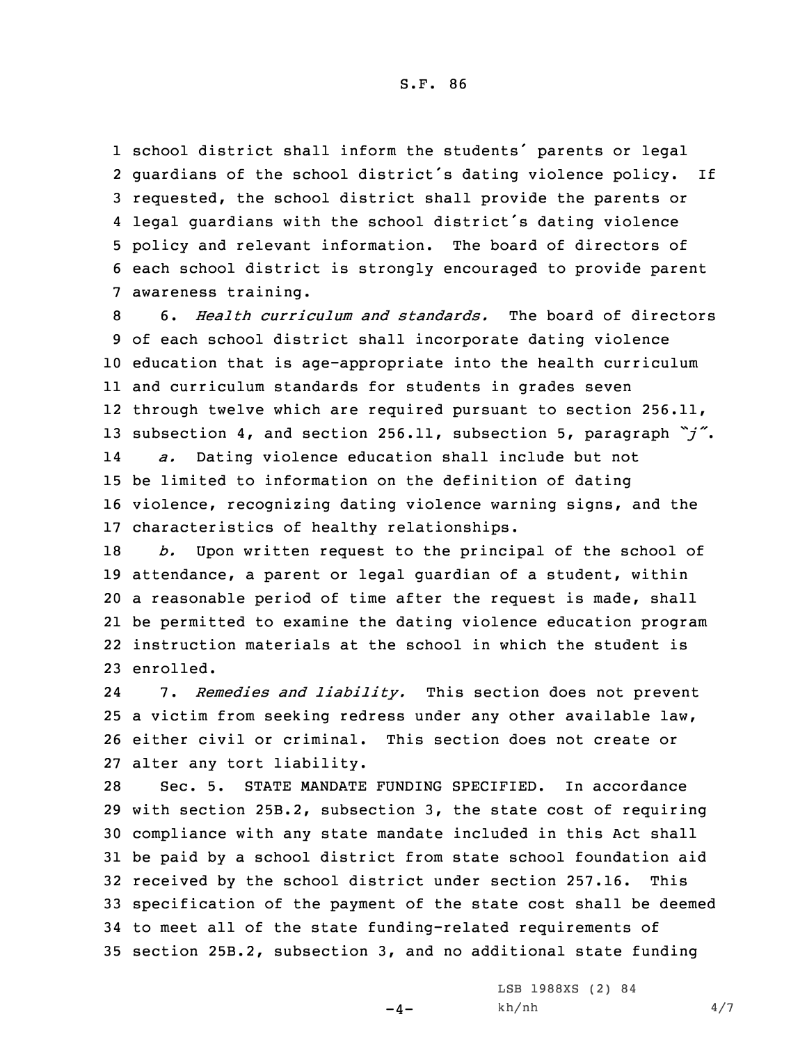S.F. 86

 school district shall inform the students' parents or legal guardians of the school district's dating violence policy. If requested, the school district shall provide the parents or legal guardians with the school district's dating violence policy and relevant information. The board of directors of each school district is strongly encouraged to provide parent awareness training.

 6. *Health curriculum and standards.* The board of directors of each school district shall incorporate dating violence education that is age-appropriate into the health curriculum and curriculum standards for students in grades seven through twelve which are required pursuant to section 256.11, subsection 4, and section 256.11, subsection 5, paragraph *"j"*. 14 *a.* Dating violence education shall include but not be limited to information on the definition of dating violence, recognizing dating violence warning signs, and the characteristics of healthy relationships.

 *b.* Upon written request to the principal of the school of attendance, <sup>a</sup> parent or legal guardian of <sup>a</sup> student, within <sup>a</sup> reasonable period of time after the request is made, shall be permitted to examine the dating violence education program instruction materials at the school in which the student is enrolled.

24 7. *Remedies and liability.* This section does not prevent 25 <sup>a</sup> victim from seeking redress under any other available law, 26 either civil or criminal. This section does not create or 27 alter any tort liability.

 Sec. 5. STATE MANDATE FUNDING SPECIFIED. In accordance with section 25B.2, subsection 3, the state cost of requiring compliance with any state mandate included in this Act shall be paid by <sup>a</sup> school district from state school foundation aid received by the school district under section 257.16. This specification of the payment of the state cost shall be deemed to meet all of the state funding-related requirements of section 25B.2, subsection 3, and no additional state funding

 $-4-$ 

LSB 1988XS (2) 84 kh/nh 4/7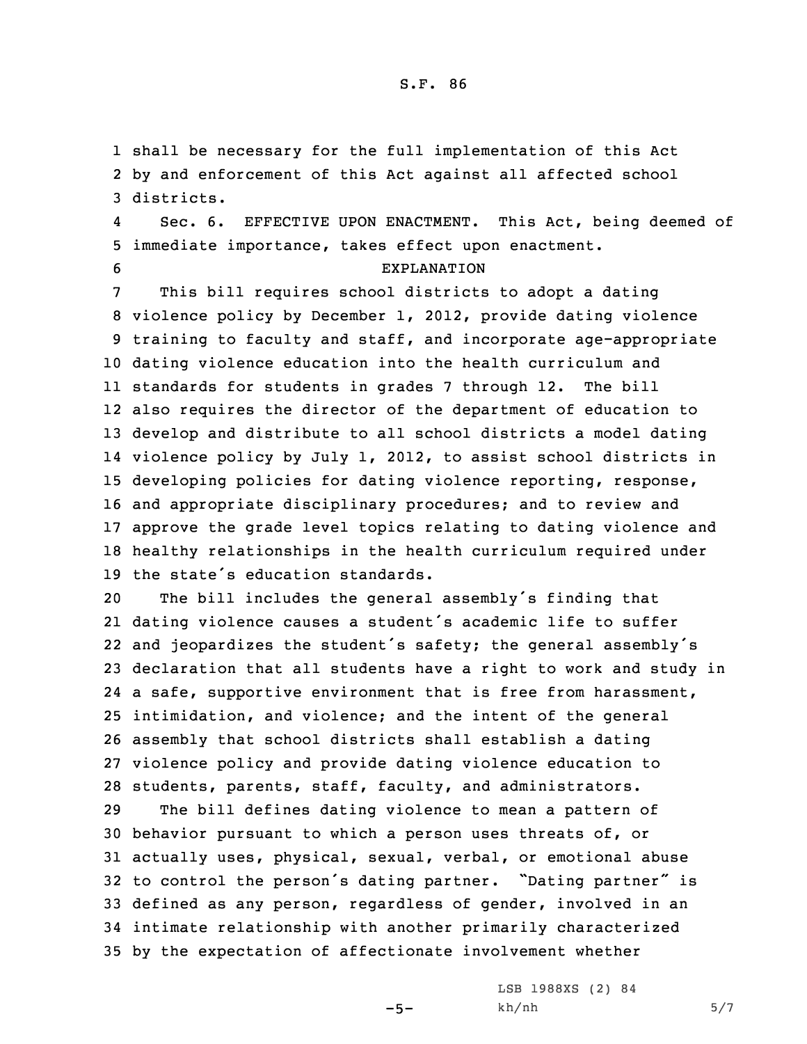1 shall be necessary for the full implementation of this Act 2 by and enforcement of this Act against all affected school 3 districts.

4 Sec. 6. EFFECTIVE UPON ENACTMENT. This Act, being deemed of 5 immediate importance, takes effect upon enactment.

## 6 EXPLANATION

 This bill requires school districts to adopt <sup>a</sup> dating violence policy by December 1, 2012, provide dating violence training to faculty and staff, and incorporate age-appropriate dating violence education into the health curriculum and standards for students in grades 7 through 12. The bill also requires the director of the department of education to develop and distribute to all school districts <sup>a</sup> model dating violence policy by July 1, 2012, to assist school districts in developing policies for dating violence reporting, response, and appropriate disciplinary procedures; and to review and approve the grade level topics relating to dating violence and healthy relationships in the health curriculum required under the state's education standards.

 The bill includes the general assembly's finding that dating violence causes <sup>a</sup> student's academic life to suffer and jeopardizes the student's safety; the general assembly's declaration that all students have <sup>a</sup> right to work and study in 24 a safe, supportive environment that is free from harassment, intimidation, and violence; and the intent of the general assembly that school districts shall establish <sup>a</sup> dating violence policy and provide dating violence education to students, parents, staff, faculty, and administrators.

 The bill defines dating violence to mean <sup>a</sup> pattern of behavior pursuant to which <sup>a</sup> person uses threats of, or actually uses, physical, sexual, verbal, or emotional abuse to control the person's dating partner. "Dating partner" is defined as any person, regardless of gender, involved in an intimate relationship with another primarily characterized by the expectation of affectionate involvement whether

 $-5-$ 

LSB 1988XS (2) 84 kh/nh 5/7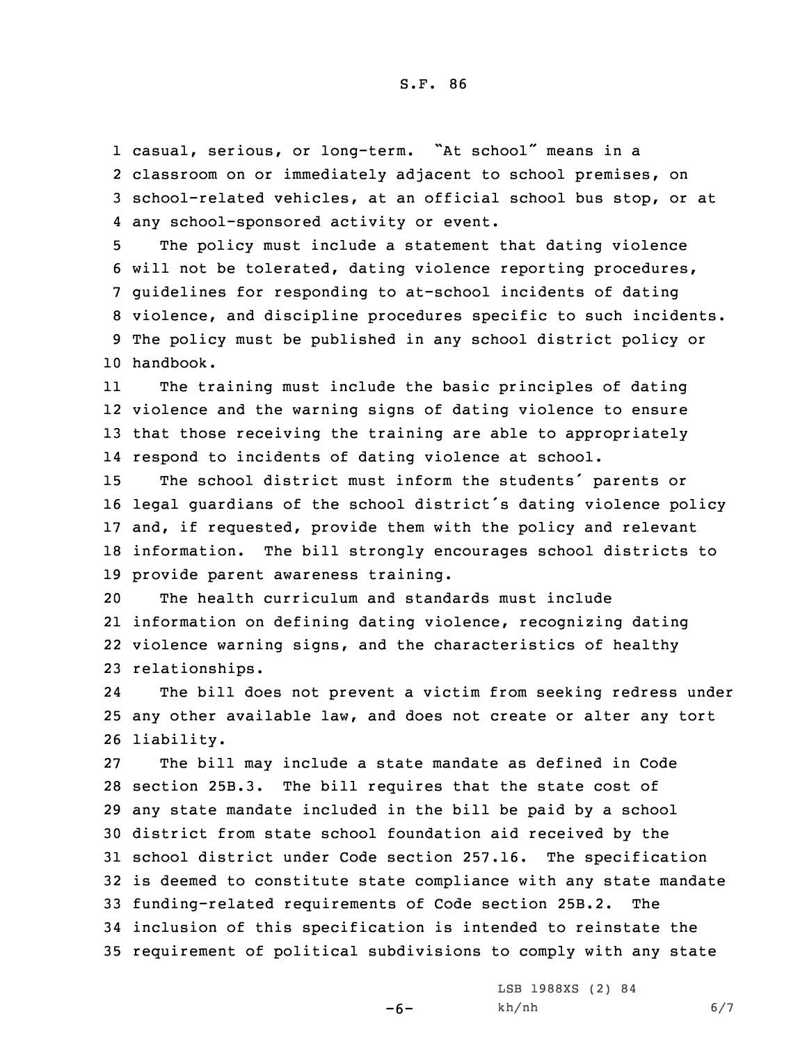casual, serious, or long-term. "At school" means in <sup>a</sup> classroom on or immediately adjacent to school premises, on school-related vehicles, at an official school bus stop, or at any school-sponsored activity or event.

 The policy must include <sup>a</sup> statement that dating violence will not be tolerated, dating violence reporting procedures, guidelines for responding to at-school incidents of dating violence, and discipline procedures specific to such incidents. The policy must be published in any school district policy or handbook.

11 The training must include the basic principles of dating 12 violence and the warning signs of dating violence to ensure 13 that those receiving the training are able to appropriately 14 respond to incidents of dating violence at school.

 The school district must inform the students' parents or legal guardians of the school district's dating violence policy and, if requested, provide them with the policy and relevant information. The bill strongly encourages school districts to provide parent awareness training.

 The health curriculum and standards must include information on defining dating violence, recognizing dating violence warning signs, and the characteristics of healthy relationships.

24 The bill does not prevent <sup>a</sup> victim from seeking redress under 25 any other available law, and does not create or alter any tort 26 liability.

 The bill may include <sup>a</sup> state mandate as defined in Code section 25B.3. The bill requires that the state cost of any state mandate included in the bill be paid by <sup>a</sup> school district from state school foundation aid received by the school district under Code section 257.16. The specification is deemed to constitute state compliance with any state mandate funding-related requirements of Code section 25B.2. The inclusion of this specification is intended to reinstate the requirement of political subdivisions to comply with any state

-6-

LSB 1988XS (2) 84 kh/nh 6/7